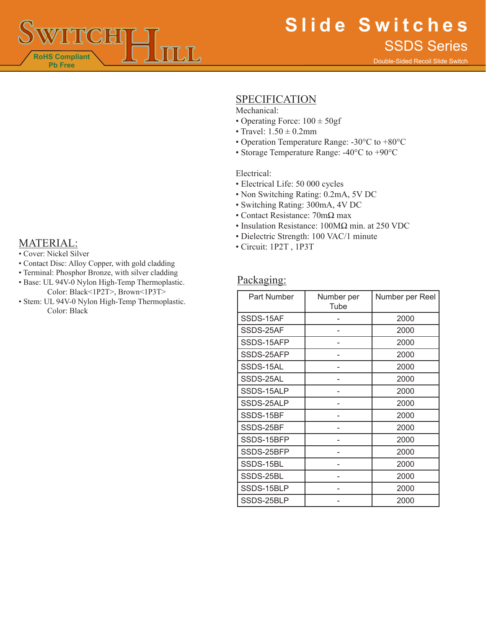

# **SPECIFICATION**

Mechanical:

- Operating Force:  $100 \pm 50$ gf
- Travel:  $1.50 \pm 0.2$ mm
- Operation Temperature Range: -30°C to +80°C
- Storage Temperature Range: -40°C to +90°C

#### Electrical:

- Electrical Life: 50 000 cycles
- Non Switching Rating: 0.2mA, 5V DC
- Switching Rating: 300mA, 4V DC
- Contact Resistance: 70mΩ max
- Insulation Resistance: 100MΩ min. at 250 VDC
- Dielectric Strength: 100 VAC/1 minute<br>• Circuit: 1P2T, 1P3T<br>• Circuit: 1P2T, 1P3T
	-

## Packaging:

| Part Number | Number per<br>Tube | Number per Reel |
|-------------|--------------------|-----------------|
| SSDS-15AF   |                    | 2000            |
| SSDS-25AF   |                    | 2000            |
| SSDS-15AFP  |                    | 2000            |
| SSDS-25AFP  |                    | 2000            |
| SSDS-15AL   |                    | 2000            |
| SSDS-25AL   |                    | 2000            |
| SSDS-15ALP  |                    | 2000            |
| SSDS-25ALP  |                    | 2000            |
| SSDS-15BF   |                    | 2000            |
| SSDS-25BF   |                    | 2000            |
| SSDS-15BFP  |                    | 2000            |
| SSDS-25BFP  |                    | 2000            |
| SSDS-15BL   |                    | 2000            |
| SSDS-25BL   |                    | 2000            |
| SSDS-15BLP  |                    | 2000            |
| SSDS-25BLP  |                    | 2000            |

- 
- Contact Disc: Alloy Copper, with gold cladding
- Terminal: Phosphor Bronze, with silver cladding
- Base: UL 94V-0 Nylon High-Temp Thermoplastic. Color: Black<1P2T>, Brown<1P3T>
- Stem: UL 94V-0 Nylon High-Temp Thermoplastic. Color: Black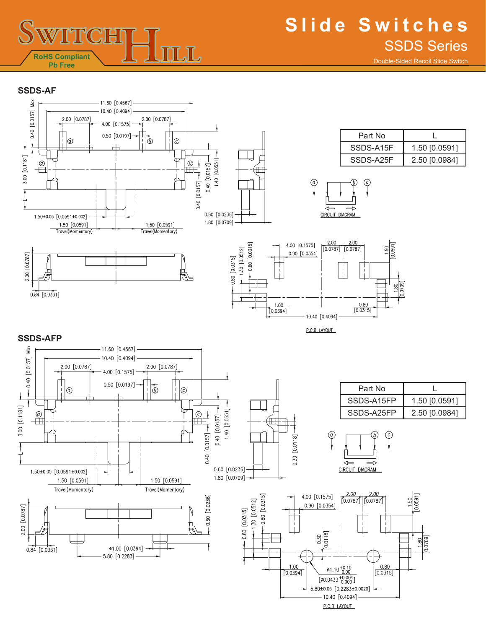

Double-Sided Recoil Slide Switch

#### **SSDS-AF**

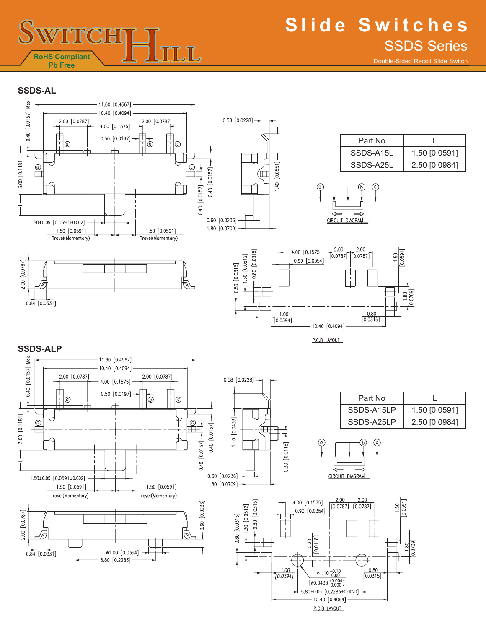

Double-Sided Recoil Slide Switch

### **SSDS-AL**

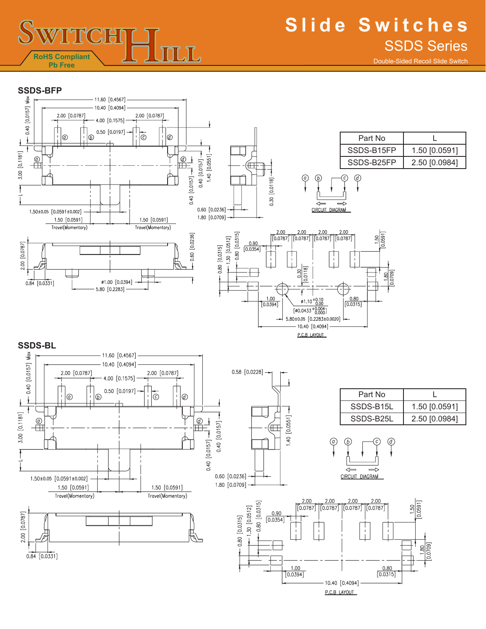

# **Slide Switches** SSDS Series

Double-Sided Recoil Slide Switch